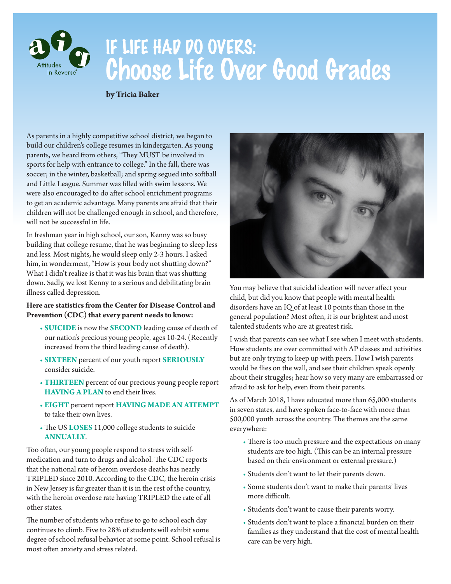

# IF LIFE HAD DO OVERS: Choose Life Over Good Grades

#### **by Tricia Baker**

As parents in a highly competitive school district, we began to build our children's college resumes in kindergarten. As young parents, we heard from others, "They MUST be involved in sports for help with entrance to college." In the fall, there was soccer; in the winter, basketball; and spring segued into softball and Little League. Summer was filled with swim lessons. We were also encouraged to do after school enrichment programs to get an academic advantage. Many parents are afraid that their children will not be challenged enough in school, and therefore, will not be successful in life.

In freshman year in high school, our son, Kenny was so busy building that college resume, that he was beginning to sleep less and less. Most nights, he would sleep only 2-3 hours. I asked him, in wonderment, "How is your body not shutting down?" What I didn't realize is that it was his brain that was shutting down. Sadly, we lost Kenny to a serious and debilitating brain illness called depression.

#### **Here are statistics from the Center for Disease Control and Prevention (CDC) that every parent needs to know:**

- **SUICIDE** is now the **SECOND** leading cause of death of our nation's precious young people, ages 10-24. (Recently increased from the third leading cause of death).
- **SIXTEEN** percent of our youth report **SERIOUSLY** consider suicide.
- **THIRTEEN** percent of our precious young people report **HAVING A PLAN** to end their lives.
- **EIGHT** percent report **HAVING MADE AN ATTEMPT** to take their own lives.
- The US **LOSES** 11,000 college students to suicide **ANNUALLY**.

Too often, our young people respond to stress with selfmedication and turn to drugs and alcohol. The CDC reports that the national rate of heroin overdose deaths has nearly TRIPLED since 2010. According to the CDC, the heroin crisis in New Jersey is far greater than it is in the rest of the country, with the heroin overdose rate having TRIPLED the rate of all other states.

The number of students who refuse to go to school each day continues to climb. Five to 28% of students will exhibit some degree of school refusal behavior at some point. School refusal is most often anxiety and stress related.



You may believe that suicidal ideation will never affect your child, but did you know that people with mental health disorders have an IQ of at least 10 points than those in the general population? Most often, it is our brightest and most talented students who are at greatest risk.

I wish that parents can see what I see when I meet with students. How students are over committed with AP classes and activities but are only trying to keep up with peers. How I wish parents would be flies on the wall, and see their children speak openly about their struggles; hear how so very many are embarrassed or afraid to ask for help, even from their parents.

As of March 2018, I have educated more than 65,000 students in seven states, and have spoken face-to-face with more than 500,000 youth across the country. The themes are the same everywhere:

- There is too much pressure and the expectations on many students are too high. (This can be an internal pressure based on their environment or external pressure.)
- Students don't want to let their parents down.
- Some students don't want to make their parents' lives more difficult.
- Students don't want to cause their parents worry.
- Students don't want to place a financial burden on their families as they understand that the cost of mental health care can be very high.